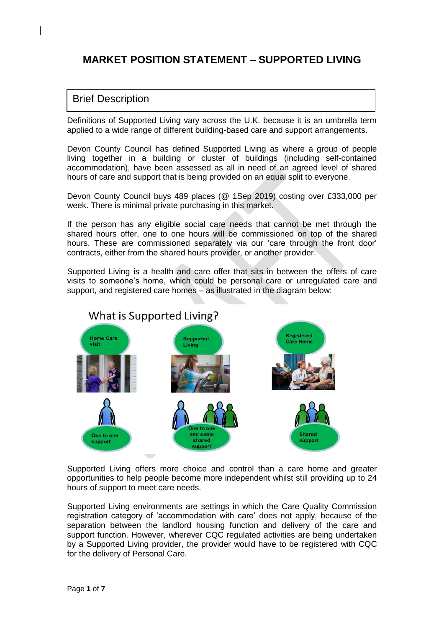# **MARKET POSITION STATEMENT – SUPPORTED LIVING**

### Brief Description

Definitions of Supported Living vary across the U.K. because it is an umbrella term applied to a wide range of different building-based care and support arrangements.

Devon County Council has defined Supported Living as where a group of people living together in a building or cluster of buildings (including self-contained accommodation), have been assessed as all in need of an agreed level of shared hours of care and support that is being provided on an equal split to everyone.

Devon County Council buys 489 places (@ 1Sep 2019) costing over £333,000 per week. There is minimal private purchasing in this market.

If the person has any eligible social care needs that cannot be met through the shared hours offer, one to one hours will be commissioned on top of the shared hours. These are commissioned separately via our 'care through the front door' contracts, either from the shared hours provider, or another provider.

Supported Living is a health and care offer that sits in between the offers of care visits to someone's home, which could be personal care or unregulated care and support, and registered care homes – as illustrated in the diagram below:



Supported Living offers more choice and control than a care home and greater opportunities to help people become more independent whilst still providing up to 24 hours of support to meet care needs.

Supported Living environments are settings in which the Care Quality Commission registration category of 'accommodation with care' does not apply, because of the separation between the landlord housing function and delivery of the care and support function. However, wherever CQC regulated activities are being undertaken by a Supported Living provider, the provider would have to be registered with CQC for the delivery of Personal Care.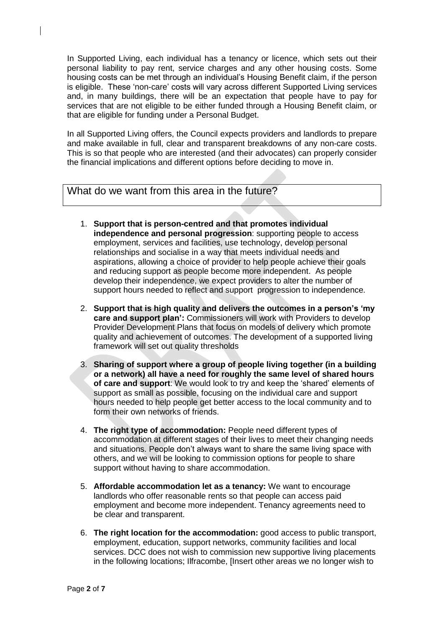In Supported Living, each individual has a tenancy or licence, which sets out their personal liability to pay rent, service charges and any other housing costs. Some housing costs can be met through an individual's Housing Benefit claim, if the person is eligible. These 'non-care' costs will vary across different Supported Living services and, in many buildings, there will be an expectation that people have to pay for services that are not eligible to be either funded through a Housing Benefit claim, or that are eligible for funding under a Personal Budget.

In all Supported Living offers, the Council expects providers and landlords to prepare and make available in full, clear and transparent breakdowns of any non-care costs. This is so that people who are interested (and their advocates) can properly consider the financial implications and different options before deciding to move in.

## What do we want from this area in the future?

- 1. **Support that is person-centred and that promotes individual independence and personal progression**: supporting people to access employment, services and facilities, use technology, develop personal relationships and socialise in a way that meets individual needs and aspirations, allowing a choice of provider to help people achieve their goals and reducing support as people become more independent. As people develop their independence, we expect providers to alter the number of support hours needed to reflect and support progression to independence.
- 2. **Support that is high quality and delivers the outcomes in a person's 'my care and support plan':** Commissioners will work with Providers to develop Provider Development Plans that focus on models of delivery which promote quality and achievement of outcomes. The development of a supported living framework will set out quality thresholds
- 3. **Sharing of support where a group of people living together (in a building or a network) all have a need for roughly the same level of shared hours of care and support**: We would look to try and keep the 'shared' elements of support as small as possible, focusing on the individual care and support hours needed to help people get better access to the local community and to form their own networks of friends.
- 4. **The right type of accommodation:** People need different types of accommodation at different stages of their lives to meet their changing needs and situations. People don't always want to share the same living space with others, and we will be looking to commission options for people to share support without having to share accommodation.
- 5. **Affordable accommodation let as a tenancy:** We want to encourage landlords who offer reasonable rents so that people can access paid employment and become more independent. Tenancy agreements need to be clear and transparent.
- 6. **The right location for the accommodation:** good access to public transport, employment, education, support networks, community facilities and local services. DCC does not wish to commission new supportive living placements in the following locations; Ilfracombe, [Insert other areas we no longer wish to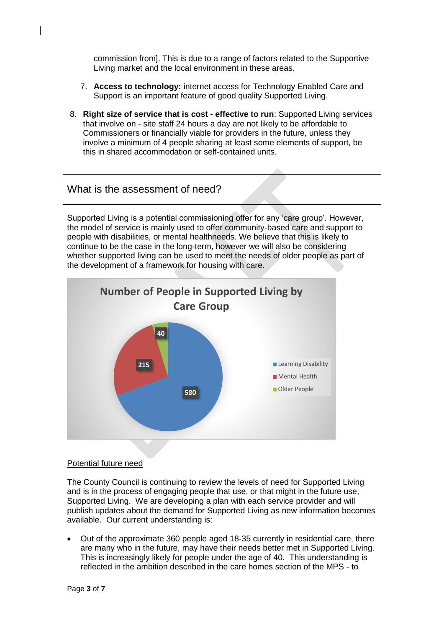commission from]. This is due to a range of factors related to the Supportive Living market and the local environment in these areas.

- 7. **Access to technology:** internet access for Technology Enabled Care and Support is an important feature of good quality Supported Living.
- 8. **Right size of service that is cost - effective to run**: Supported Living services that involve on - site staff 24 hours a day are not likely to be affordable to Commissioners or financially viable for providers in the future, unless they involve a minimum of 4 people sharing at least some elements of support, be this in shared accommodation or self-contained units.

## What is the assessment of need?

Supported Living is a potential commissioning offer for any 'care group'. However, the model of service is mainly used to offer community-based care and support to people with disabilities, or mental healthneeds. We believe that this is likely to continue to be the case in the long-term, however we will also be considering whether supported living can be used to meet the needs of older people as part of the development of a framework for housing with care.



#### Potential future need

The County Council is continuing to review the levels of need for Supported Living and is in the process of engaging people that use, or that might in the future use, Supported Living. We are developing a plan with each service provider and will publish updates about the demand for Supported Living as new information becomes available. Our current understanding is:

• Out of the approximate 360 people aged 18-35 currently in residential care, there are many who in the future, may have their needs better met in Supported Living. This is increasingly likely for people under the age of 40. This understanding is reflected in the ambition described in the care homes section of the MPS - to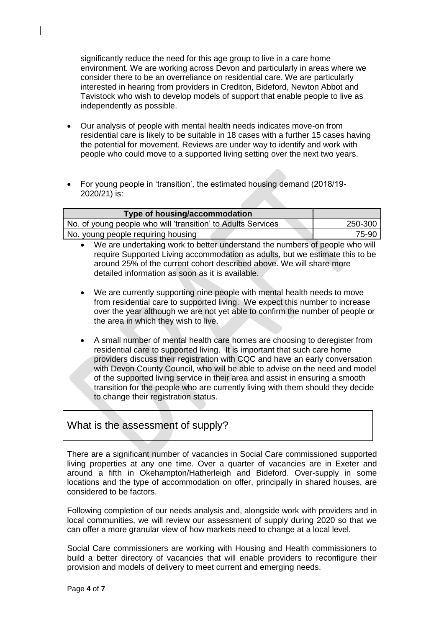significantly reduce the need for this age group to live in a care home environment. We are working across Devon and particularly in areas where we consider there to be an overreliance on residential care. We are particularly interested in hearing from providers in Crediton, Bideford, Newton Abbot and Tavistock who wish to develop models of support that enable people to live as independently as possible.

- Our analysis of people with mental health needs indicates move-on from residential care is likely to be suitable in 18 cases with a further 15 cases having the potential for movement. Reviews are under way to identify and work with people who could move to a supported living setting over the next two years.
- For young people in 'transition', the estimated housing demand (2018/19- 2020/21) is:

| Type of housing/accommodation                                |         |
|--------------------------------------------------------------|---------|
| No. of young people who will 'transition' to Adults Services | 250-300 |
| No. young people requiring housing                           | 75-90   |

- We are undertaking work to better understand the numbers of people who will require Supported Living accommodation as adults, but we estimate this to be around 25% of the current cohort described above. We will share more detailed information as soon as it is available.
- We are currently supporting nine people with mental health needs to move from residential care to supported living. We expect this number to increase over the year although we are not yet able to confirm the number of people or the area in which they wish to live.
- A small number of mental health care homes are choosing to deregister from residential care to supported living. It is important that such care home providers discuss their registration with CQC and have an early conversation with Devon County Council, who will be able to advise on the need and model of the supported living service in their area and assist in ensuring a smooth transition for the people who are currently living with them should they decide to change their registration status.

## What is the assessment of supply?

There are a significant number of vacancies in Social Care commissioned supported living properties at any one time. Over a quarter of vacancies are in Exeter and around a fifth in Okehampton/Hatherleigh and Bideford. Over-supply in some locations and the type of accommodation on offer, principally in shared houses, are considered to be factors.

Following completion of our needs analysis and, alongside work with providers and in local communities, we will review our assessment of supply during 2020 so that we can offer a more granular view of how markets need to change at a local level.

Social Care commissioners are working with Housing and Health commissioners to build a better directory of vacancies that will enable providers to reconfigure their provision and models of delivery to meet current and emerging needs.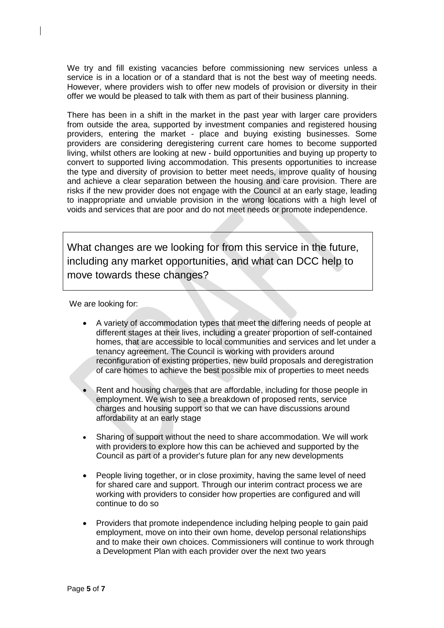We try and fill existing vacancies before commissioning new services unless a service is in a location or of a standard that is not the best way of meeting needs. However, where providers wish to offer new models of provision or diversity in their offer we would be pleased to talk with them as part of their business planning.

There has been in a shift in the market in the past year with larger care providers from outside the area, supported by investment companies and registered housing providers, entering the market - place and buying existing businesses. Some providers are considering deregistering current care homes to become supported living, whilst others are looking at new - build opportunities and buying up property to convert to supported living accommodation. This presents opportunities to increase the type and diversity of provision to better meet needs, improve quality of housing and achieve a clear separation between the housing and care provision. There are risks if the new provider does not engage with the Council at an early stage, leading to inappropriate and unviable provision in the wrong locations with a high level of voids and services that are poor and do not meet needs or promote independence.

What changes are we looking for from this service in the future, including any market opportunities, and what can DCC help to move towards these changes?

We are looking for:

- A variety of accommodation types that meet the differing needs of people at different stages at their lives, including a greater proportion of self-contained homes, that are accessible to local communities and services and let under a tenancy agreement. The Council is working with providers around reconfiguration of existing properties, new build proposals and deregistration of care homes to achieve the best possible mix of properties to meet needs
- Rent and housing charges that are affordable, including for those people in employment. We wish to see a breakdown of proposed rents, service charges and housing support so that we can have discussions around affordability at an early stage
- Sharing of support without the need to share accommodation. We will work with providers to explore how this can be achieved and supported by the Council as part of a provider's future plan for any new developments
- People living together, or in close proximity, having the same level of need for shared care and support. Through our interim contract process we are working with providers to consider how properties are configured and will continue to do so
- Providers that promote independence including helping people to gain paid employment, move on into their own home, develop personal relationships and to make their own choices. Commissioners will continue to work through a Development Plan with each provider over the next two years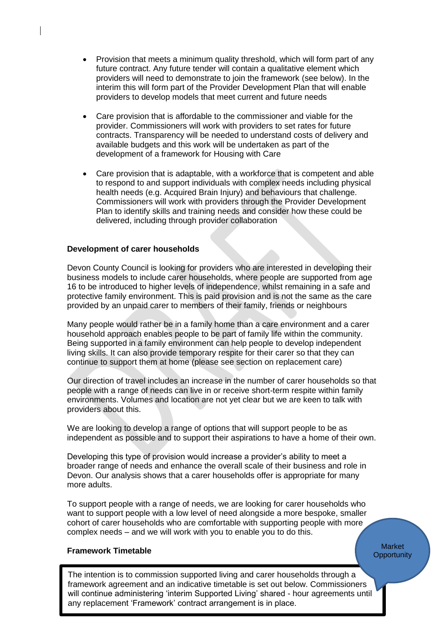- Provision that meets a minimum quality threshold, which will form part of any future contract. Any future tender will contain a qualitative element which providers will need to demonstrate to join the framework (see below). In the interim this will form part of the Provider Development Plan that will enable providers to develop models that meet current and future needs
- Care provision that is affordable to the commissioner and viable for the provider. Commissioners will work with providers to set rates for future contracts. Transparency will be needed to understand costs of delivery and available budgets and this work will be undertaken as part of the development of a framework for Housing with Care
- Care provision that is adaptable, with a workforce that is competent and able to respond to and support individuals with complex needs including physical health needs (e.g. Acquired Brain Injury) and behaviours that challenge. Commissioners will work with providers through the Provider Development Plan to identify skills and training needs and consider how these could be delivered, including through provider collaboration

#### **Development of carer households**

Devon County Council is looking for providers who are interested in developing their business models to include carer households, where people are supported from age 16 to be introduced to higher levels of independence, whilst remaining in a safe and protective family environment. This is paid provision and is not the same as the care provided by an unpaid carer to members of their family, friends or neighbours

Many people would rather be in a family home than a care environment and a carer household approach enables people to be part of family life within the community. Being supported in a family environment can help people to develop independent living skills. It can also provide temporary respite for their carer so that they can continue to support them at home (please see section on replacement care)

Our direction of travel includes an increase in the number of carer households so that people with a range of needs can live in or receive short-term respite within family environments. Volumes and location are not yet clear but we are keen to talk with providers about this.

We are looking to develop a range of options that will support people to be as independent as possible and to support their aspirations to have a home of their own.

Developing this type of provision would increase a provider's ability to meet a broader range of needs and enhance the overall scale of their business and role in Devon. Our analysis shows that a carer households offer is appropriate for many more adults.

To support people with a range of needs, we are looking for carer households who want to support people with a low level of need alongside a more bespoke, smaller cohort of carer households who are comfortable with supporting people with more complex needs – and we will work with you to enable you to do this.

#### **Market Opportunity**

#### **Framework Timetable**

Page **6** of **7** will continue administering 'interim Supported Living' shared - hour agreements until The intention is to commission supported living and carer households through a framework agreement and an indicative timetable is set out below. Commissioners any replacement 'Framework' contract arrangement is in place.